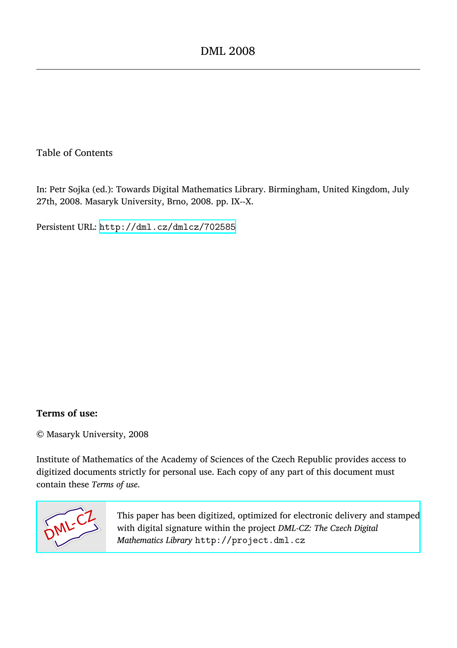#### Table of Contents

In: Petr Sojka (ed.): Towards Digital Mathematics Library. Birmingham, United Kingdom, July 27th, 2008. Masaryk University, Brno, 2008. pp. IX--X.

Persistent URL: <http://dml.cz/dmlcz/702585>

#### **Terms of use:**

© Masaryk University, 2008

Institute of Mathematics of the Academy of Sciences of the Czech Republic provides access to digitized documents strictly for personal use. Each copy of any part of this document must contain these *Terms of use*.



[This paper has been digitized, optimized for electronic delivery and stamped](http://project.dml.cz) with digital signature within the project *DML-CZ: The Czech Digital Mathematics Library* http://project.dml.cz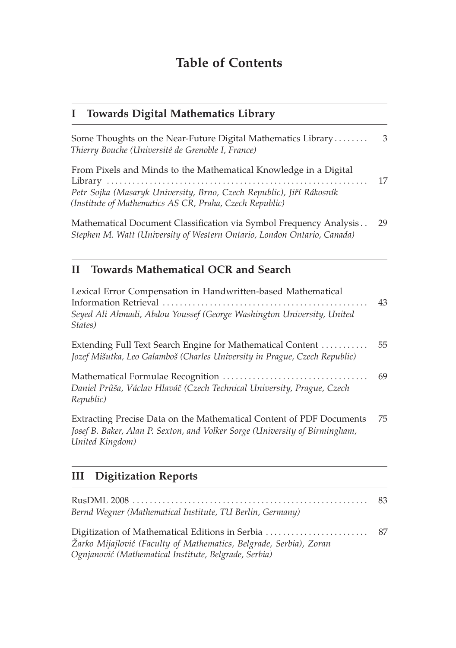# **Table of Contents**

#### **I Towards Digital Mathematics Library**

| Some Thoughts on the Near-Future Digital Mathematics Library<br>Thierry Bouche (Université de Grenoble I, France)               | - 3 |
|---------------------------------------------------------------------------------------------------------------------------------|-----|
| From Pixels and Minds to the Mathematical Knowledge in a Digital                                                                | 17  |
| Petr Sojka (Masaryk University, Brno, Czech Republic), Jiří Rákosník<br>(Institute of Mathematics AS CR, Praha, Czech Republic) |     |

Mathematical Document Classification via Symbol Frequency Analysis . . 29 *Stephen M. Watt (University of Western Ontario, London Ontario, Canada)*

## **II Towards Mathematical OCR and Search**

| Lexical Error Compensation in Handwritten-based Mathematical                                                                                                           | 43 |
|------------------------------------------------------------------------------------------------------------------------------------------------------------------------|----|
| Seyed Ali Ahmadi, Abdou Youssef (George Washington University, United<br>States)                                                                                       |    |
| Extending Full Text Search Engine for Mathematical Content<br>Jozef Mišutka, Leo Galamboš (Charles University in Prague, Czech Republic)                               | 55 |
| Daniel Průša, Václav Hlaváč (Czech Technical University, Prague, Czech<br>Republic)                                                                                    | 69 |
| Extracting Precise Data on the Mathematical Content of PDF Documents<br>Josef B. Baker, Alan P. Sexton, and Volker Sorge (University of Birmingham,<br>United Kingdom) | 75 |
| <b>Digitization Reports</b><br>Ш                                                                                                                                       |    |
|                                                                                                                                                                        | 83 |

*Bernd Wegner (Mathematical Institute, TU Berlin, Germany)* Digitization of Mathematical Editions in Serbia . . . . . . . . . . . . . . . . . . . . . . . . 87 *Žarko Mijajlovi´c (Faculty of Mathematics, Belgrade, Serbia), Zoran Ognjanovi´c (Mathematical Institute, Belgrade, Serbia)*